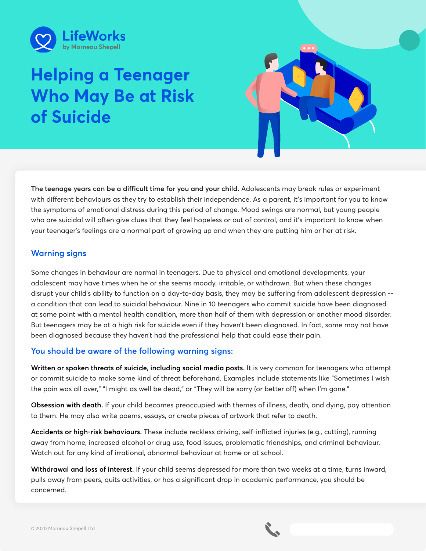

# **Helping a Teenager Who May Be at Risk of Suicide**



**The teenage years can be a difficult time for you and your child.** Adolescents may break rules or experiment with different behaviours as they try to establish their independence. As a parent, it's important for you to know the symptoms of emotional distress during this period of change. Mood swings are normal, but young people who are suicidal will often give clues that they feel hopeless or out of control, and it's important to know when your teenager's feelings are a normal part of growing up and when they are putting him or her at risk.

## **Warning signs**

Some changes in behaviour are normal in teenagers. Due to physical and emotional developments, your adolescent may have times when he or she seems moody, irritable, or withdrawn. But when these changes disrupt your child's ability to function on a day-to-day basis, they may be suffering from adolescent depression - a condition that can lead to suicidal behaviour. Nine in 10 teenagers who commit suicide have been diagnosed at some point with a mental health condition, more than half of them with depression or another mood disorder. But teenagers may be at a high risk for suicide even if they haven't been diagnosed. In fact, some may not have been diagnosed because they haven't had the professional help that could ease their pain.

# **You should be aware of the following warning signs:**

**Written or spoken threats of suicide, including social media posts.** It is very common for teenagers who attempt or commit suicide to make some kind of threat beforehand. Examples include statements like "Sometimes I wish the pain was all over," "I might as well be dead," or "They will be sorry (or better off) when I'm gone."

**Obsession with death.** If your child becomes preoccupied with themes of illness, death, and dying, pay attention to them. He may also write poems, essays, or create pieces of artwork that refer to death.

**Accidents or high-risk behaviours.** These include reckless driving, self-inflicted injuries (e.g., cutting), running away from home, increased alcohol or drug use, food issues, problematic friendships, and criminal behaviour. Watch out for any kind of irrational, abnormal behaviour at home or at school.

**Withdrawal and loss of interest.** If your child seems depressed for more than two weeks at a time, turns inward, pulls away from peers, quits activities, or has a significant drop in academic performance, you should be concerned.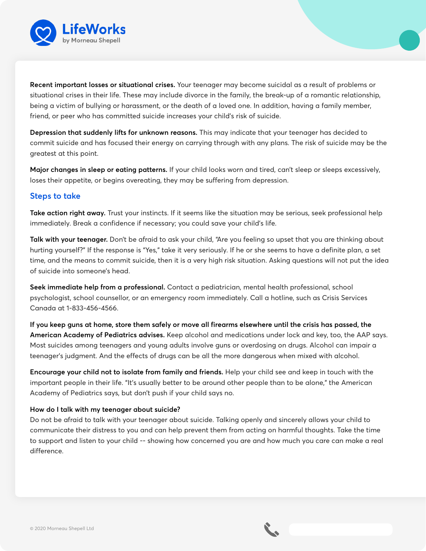

**Recent important losses or situational crises.** Your teenager may become suicidal as a result of problems or situational crises in their life. These may include divorce in the family, the break-up of a romantic relationship, being a victim of bullying or harassment, or the death of a loved one. In addition, having a family member, friend, or peer who has committed suicide increases your child's risk of suicide.

**Depression that suddenly lifts for unknown reasons.** This may indicate that your teenager has decided to commit suicide and has focused their energy on carrying through with any plans. The risk of suicide may be the greatest at this point.

**Major changes in sleep or eating patterns.** If your child looks worn and tired, can't sleep or sleeps excessively, loses their appetite, or begins overeating, they may be suffering from depression.

## **Steps to take**

**Take action right away.** Trust your instincts. If it seems like the situation may be serious, seek professional help immediately. Break a confidence if necessary; you could save your child's life.

**Talk with your teenager.** Don't be afraid to ask your child, "Are you feeling so upset that you are thinking about hurting yourself?" If the response is "Yes," take it very seriously. If he or she seems to have a definite plan, a set time, and the means to commit suicide, then it is a very high risk situation. Asking questions will not put the idea of suicide into someone's head.

**Seek immediate help from a professional.** Contact a pediatrician, mental health professional, school psychologist, school counsellor, or an emergency room immediately. Call a hotline, such as Crisis Services Canada at 1-833-456-4566.

**If you keep guns at home, store them safely or move all firearms elsewhere until the crisis has passed, the American Academy of Pediatrics advises.** Keep alcohol and medications under lock and key, too, the AAP says. Most suicides among teenagers and young adults involve guns or overdosing on drugs. Alcohol can impair a teenager's judgment. And the effects of drugs can be all the more dangerous when mixed with alcohol.

**Encourage your child not to isolate from family and friends.** Help your child see and keep in touch with the important people in their life. "It's usually better to be around other people than to be alone," the American Academy of Pediatrics says, but don't push if your child says no.

### **How do I talk with my teenager about suicide?**

Do not be afraid to talk with your teenager about suicide. Talking openly and sincerely allows your child to communicate their distress to you and can help prevent them from acting on harmful thoughts. Take the time to support and listen to your child -- showing how concerned you are and how much you care can make a real difference.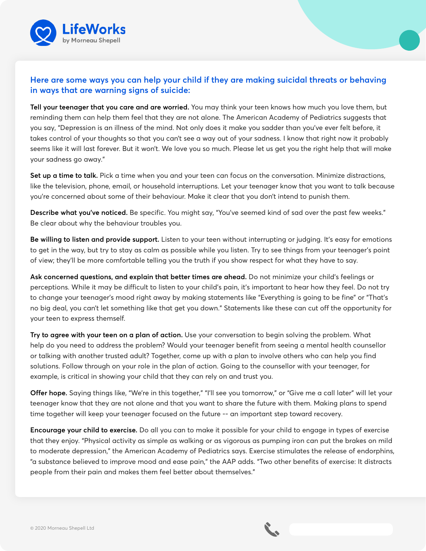

# **Here are some ways you can help your child if they are making suicidal threats or behaving in ways that are warning signs of suicide:**

**Tell your teenager that you care and are worried.** You may think your teen knows how much you love them, but reminding them can help them feel that they are not alone. The American Academy of Pediatrics suggests that you say, "Depression is an illness of the mind. Not only does it make you sadder than you've ever felt before, it takes control of your thoughts so that you can't see a way out of your sadness. I know that right now it probably seems like it will last forever. But it won't. We love you so much. Please let us get you the right help that will make your sadness go away."

**Set up a time to talk.** Pick a time when you and your teen can focus on the conversation. Minimize distractions, like the television, phone, email, or household interruptions. Let your teenager know that you want to talk because you're concerned about some of their behaviour. Make it clear that you don't intend to punish them.

**Describe what you've noticed.** Be specific. You might say, "You've seemed kind of sad over the past few weeks." Be clear about why the behaviour troubles you.

**Be willing to listen and provide support.** Listen to your teen without interrupting or judging. It's easy for emotions to get in the way, but try to stay as calm as possible while you listen. Try to see things from your teenager's point of view; they'll be more comfortable telling you the truth if you show respect for what they have to say.

**Ask concerned questions, and explain that better times are ahead.** Do not minimize your child's feelings or perceptions. While it may be difficult to listen to your child's pain, it's important to hear how they feel. Do not try to change your teenager's mood right away by making statements like "Everything is going to be fine" or "That's no big deal, you can't let something like that get you down." Statements like these can cut off the opportunity for your teen to express themself.

**Try to agree with your teen on a plan of action.** Use your conversation to begin solving the problem. What help do you need to address the problem? Would your teenager benefit from seeing a mental health counsellor or talking with another trusted adult? Together, come up with a plan to involve others who can help you find solutions. Follow through on your role in the plan of action. Going to the counsellor with your teenager, for example, is critical in showing your child that they can rely on and trust you.

**Offer hope.** Saying things like, "We're in this together," "I'll see you tomorrow," or "Give me a call later" will let your teenager know that they are not alone and that you want to share the future with them. Making plans to spend time together will keep your teenager focused on the future -- an important step toward recovery.

**Encourage your child to exercise.** Do all you can to make it possible for your child to engage in types of exercise that they enjoy. "Physical activity as simple as walking or as vigorous as pumping iron can put the brakes on mild to moderate depression," the American Academy of Pediatrics says. Exercise stimulates the release of endorphins, "a substance believed to improve mood and ease pain," the AAP adds. "Two other benefits of exercise: It distracts people from their pain and makes them feel better about themselves."